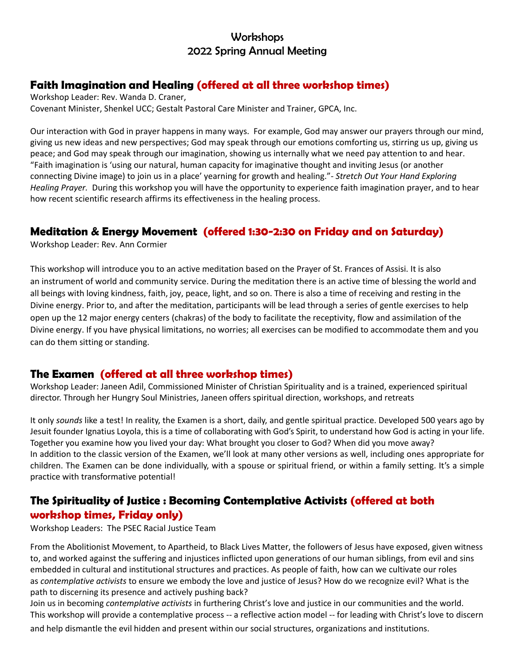# **Workshops** 2022 Spring Annual Meeting

# **Faith Imagination and Healing (offered at all three workshop times)**

Workshop Leader: Rev. Wanda D. Craner, Covenant Minister, Shenkel UCC; Gestalt Pastoral Care Minister and Trainer, GPCA, Inc.

Our interaction with God in prayer happens in many ways. For example, God may answer our prayers through our mind, giving us new ideas and new perspectives; God may speak through our emotions comforting us, stirring us up, giving us peace; and God may speak through our imagination, showing us internally what we need pay attention to and hear. "Faith imagination is 'using our natural, human capacity for imaginative thought and inviting Jesus (or another connecting Divine image) to join us in a place' yearning for growth and healing."- *Stretch Out Your Hand Exploring Healing Prayer.* During this workshop you will have the opportunity to experience faith imagination prayer, and to hear how recent scientific research affirms its effectiveness in the healing process.

### **Meditation & Energy Movement (offered 1:30-2:30 on Friday and on Saturday)**

Workshop Leader: Rev. Ann Cormier

This workshop will introduce you to an active meditation based on the Prayer of St. Frances of Assisi. It is also an instrument of world and community service. During the meditation there is an active time of blessing the world and all beings with loving kindness, faith, joy, peace, light, and so on. There is also a time of receiving and resting in the Divine energy. Prior to, and after the meditation, participants will be lead through a series of gentle exercises to help open up the 12 major energy centers (chakras) of the body to facilitate the receptivity, flow and assimilation of the Divine energy. If you have physical limitations, no worries; all exercises can be modified to accommodate them and you can do them sitting or standing.

### **The Examen (offered at all three workshop times)**

Workshop Leader: Janeen Adil, Commissioned Minister of Christian Spirituality and is a trained, experienced spiritual director. Through her Hungry Soul Ministries, Janeen offers spiritual direction, workshops, and retreats

It only *sounds* like a test! In reality, the Examen is a short, daily, and gentle spiritual practice. Developed 500 years ago by Jesuit founder Ignatius Loyola, this is a time of collaborating with God's Spirit, to understand how God is acting in your life. Together you examine how you lived your day: What brought you closer to God? When did you move away? In addition to the classic version of the Examen, we'll look at many other versions as well, including ones appropriate for children. The Examen can be done individually, with a spouse or spiritual friend, or within a family setting. It's a simple practice with transformative potential!

# **The Spirituality of Justice : Becoming Contemplative Activists (offered at both workshop times, Friday only)**

Workshop Leaders: The PSEC Racial Justice Team

From the Abolitionist Movement, to Apartheid, to Black Lives Matter, the followers of Jesus have exposed, given witness to, and worked against the suffering and injustices inflicted upon generations of our human siblings, from evil and sins embedded in cultural and institutional structures and practices. As people of faith, how can we cultivate our roles as *contemplative activists* to ensure we embody the love and justice of Jesus? How do we recognize evil? What is the path to discerning its presence and actively pushing back?

Join us in becoming *contemplative activists* in furthering Christ's love and justice in our communities and the world. This workshop will provide a contemplative process -- a reflective action model -- for leading with Christ's love to discern and help dismantle the evil hidden and present within our social structures, organizations and institutions.